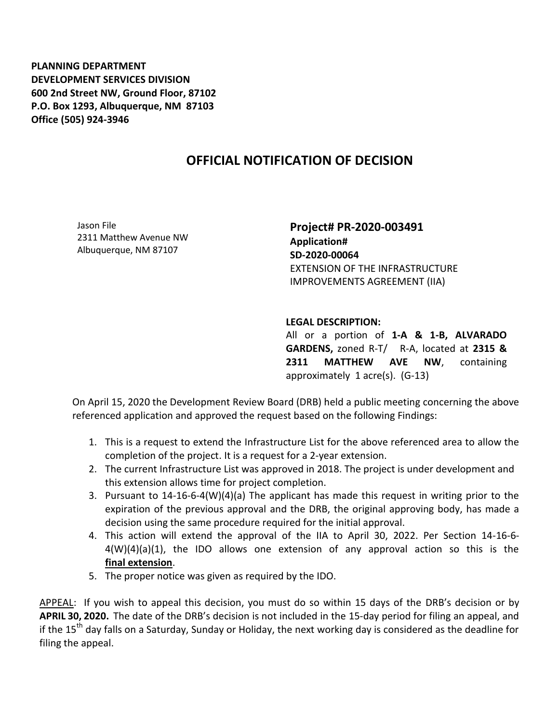## **OFFICIAL NOTIFICATION OF DECISION**

Jason File 2311 Matthew Avenue NW Albuquerque, NM 87107

**Project# PR-2020-003491 Application# SD-2020-00064** EXTENSION OF THE INFRASTRUCTURE IMPROVEMENTS AGREEMENT (IIA)

## **LEGAL DESCRIPTION:**

All or a portion of **1-A & 1-B, ALVARADO GARDENS,** zoned R-T/ R-A, located at **2315 & 2311 MATTHEW AVE NW**, containing approximately 1 acre(s). (G-13)

On April 15, 2020 the Development Review Board (DRB) held a public meeting concerning the above referenced application and approved the request based on the following Findings:

- 1. This is a request to extend the Infrastructure List for the above referenced area to allow the completion of the project. It is a request for a 2-year extension.
- 2. The current Infrastructure List was approved in 2018. The project is under development and this extension allows time for project completion.
- 3. Pursuant to 14-16-6-4(W)(4)(a) The applicant has made this request in writing prior to the expiration of the previous approval and the DRB, the original approving body, has made a decision using the same procedure required for the initial approval.
- 4. This action will extend the approval of the IIA to April 30, 2022. Per Section 14-16-6- 4(W)(4)(a)(1), the IDO allows one extension of any approval action so this is the **final extension**.
- 5. The proper notice was given as required by the IDO.

APPEAL: If you wish to appeal this decision, you must do so within 15 days of the DRB's decision or by **APRIL 30, 2020.** The date of the DRB's decision is not included in the 15-day period for filing an appeal, and if the 15<sup>th</sup> day falls on a Saturday, Sunday or Holiday, the next working day is considered as the deadline for filing the appeal.